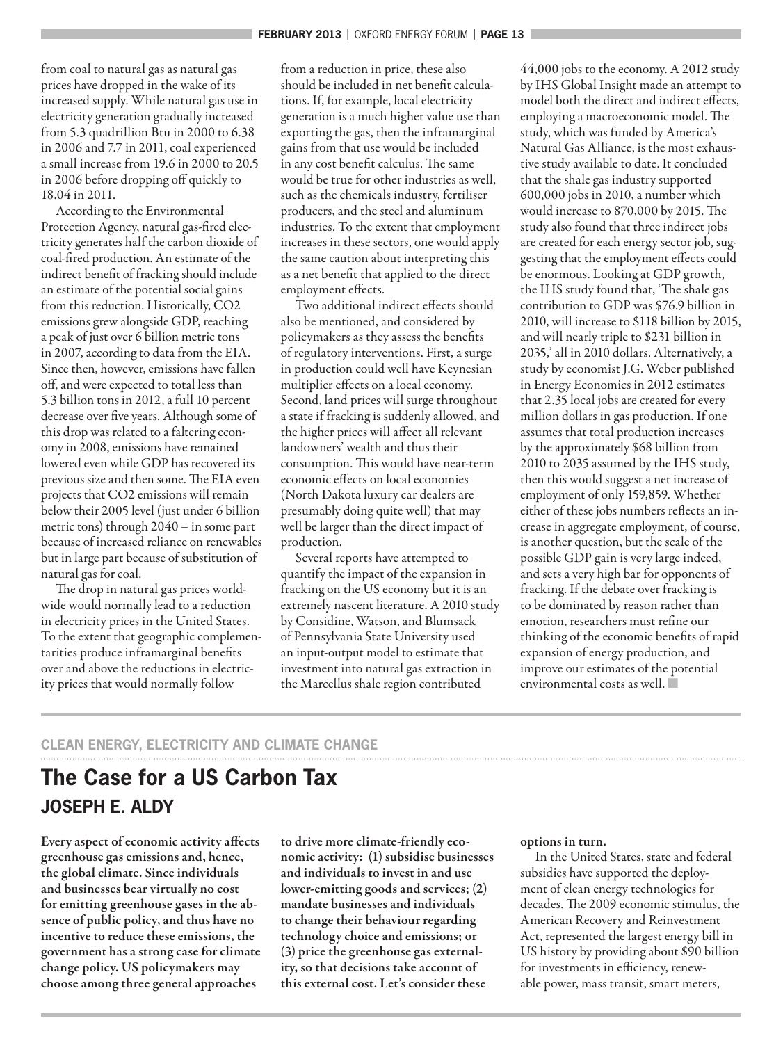from coal to natural gas as natural gas prices have dropped in the wake of its increased supply. While natural gas use in electricity generation gradually increased from 5.3 quadrillion Btu in 2000 to 6.38 in 2006 and 7.7 in 2011, coal experienced a small increase from 19.6 in 2000 to 20.5 in 2006 before dropping off quickly to 18.04 in 2011.

According to the Environmental Protection Agency, natural gas-fired electricity generates half the carbon dioxide of coal-fired production. An estimate of the indirect benefit of fracking should include an estimate of the potential social gains from this reduction. Historically, CO2 emissions grew alongside GDP, reaching a peak of just over 6 billion metric tons in 2007, according to data from the EIA. Since then, however, emissions have fallen off, and were expected to total less than 5.3 billion tons in 2012, a full 10 percent decrease over five years. Although some of this drop was related to a faltering economy in 2008, emissions have remained lowered even while GDP has recovered its previous size and then some. The EIA even projects that CO2 emissions will remain below their 2005 level (just under 6 billion metric tons) through 2040 – in some part because of increased reliance on renewables but in large part because of substitution of natural gas for coal.

The drop in natural gas prices worldwide would normally lead to a reduction in electricity prices in the United States. To the extent that geographic complementarities produce inframarginal benefits over and above the reductions in electricity prices that would normally follow

from a reduction in price, these also should be included in net benefit calculations. If, for example, local electricity generation is a much higher value use than exporting the gas, then the inframarginal gains from that use would be included in any cost benefit calculus. The same would be true for other industries as well, such as the chemicals industry, fertiliser producers, and the steel and aluminum industries. To the extent that employment increases in these sectors, one would apply the same caution about interpreting this as a net benefit that applied to the direct employment effects.

Two additional indirect effects should also be mentioned, and considered by policymakers as they assess the benefits of regulatory interventions. First, a surge in production could well have Keynesian multiplier effects on a local economy. Second, land prices will surge throughout a state if fracking is suddenly allowed, and the higher prices will affect all relevant landowners' wealth and thus their consumption. This would have near-term economic effects on local economies (North Dakota luxury car dealers are presumably doing quite well) that may well be larger than the direct impact of production.

Several reports have attempted to quantify the impact of the expansion in fracking on the US economy but it is an extremely nascent literature. A 2010 study by Considine, Watson, and Blumsack of Pennsylvania State University used an input-output model to estimate that investment into natural gas extraction in the Marcellus shale region contributed

44,000 jobs to the economy. A 2012 study by IHS Global Insight made an attempt to model both the direct and indirect effects, employing a macroeconomic model. The study, which was funded by America's Natural Gas Alliance, is the most exhaustive study available to date. It concluded that the shale gas industry supported 600,000 jobs in 2010, a number which would increase to 870,000 by 2015. The study also found that three indirect jobs are created for each energy sector job, suggesting that the employment effects could be enormous. Looking at GDP growth, the IHS study found that, 'The shale gas contribution to GDP was \$76.9 billion in 2010, will increase to \$118 billion by 2015, and will nearly triple to \$231 billion in 2035,' all in 2010 dollars. Alternatively, a study by economist J.G. Weber published in Energy Economics in 2012 estimates that 2.35 local jobs are created for every million dollars in gas production. If one assumes that total production increases by the approximately \$68 billion from 2010 to 2035 assumed by the IHS study, then this would suggest a net increase of employment of only 159,859. Whether either of these jobs numbers reflects an increase in aggregate employment, of course, is another question, but the scale of the possible GDP gain is very large indeed, and sets a very high bar for opponents of fracking. If the debate over fracking is to be dominated by reason rather than emotion, researchers must refine our thinking of the economic benefits of rapid expansion of energy production, and improve our estimates of the potential environmental costs as well. Q

# **CLEAN ENERGY, ELECTRICITY AND CLIMATE CHANGE**

# **The Case for a US Carbon Tax JOSEPH E. ALDY**

Every aspect of economic activity affects greenhouse gas emissions and, hence, the global climate. Since individuals and businesses bear virtually no cost for emitting greenhouse gases in the absence of public policy, and thus have no incentive to reduce these emissions, the government has a strong case for climate change policy. US policymakers may choose among three general approaches

to drive more climate-friendly economic activity: (1) subsidise businesses and individuals to invest in and use lower-emitting goods and services; (2) mandate businesses and individuals to change their behaviour regarding technology choice and emissions; or (3) price the greenhouse gas externality, so that decisions take account of this external cost. Let's consider these

#### options in turn.

In the United States, state and federal subsidies have supported the deployment of clean energy technologies for decades. The 2009 economic stimulus, the American Recovery and Reinvestment Act, represented the largest energy bill in US history by providing about \$90 billion for investments in efficiency, renewable power, mass transit, smart meters,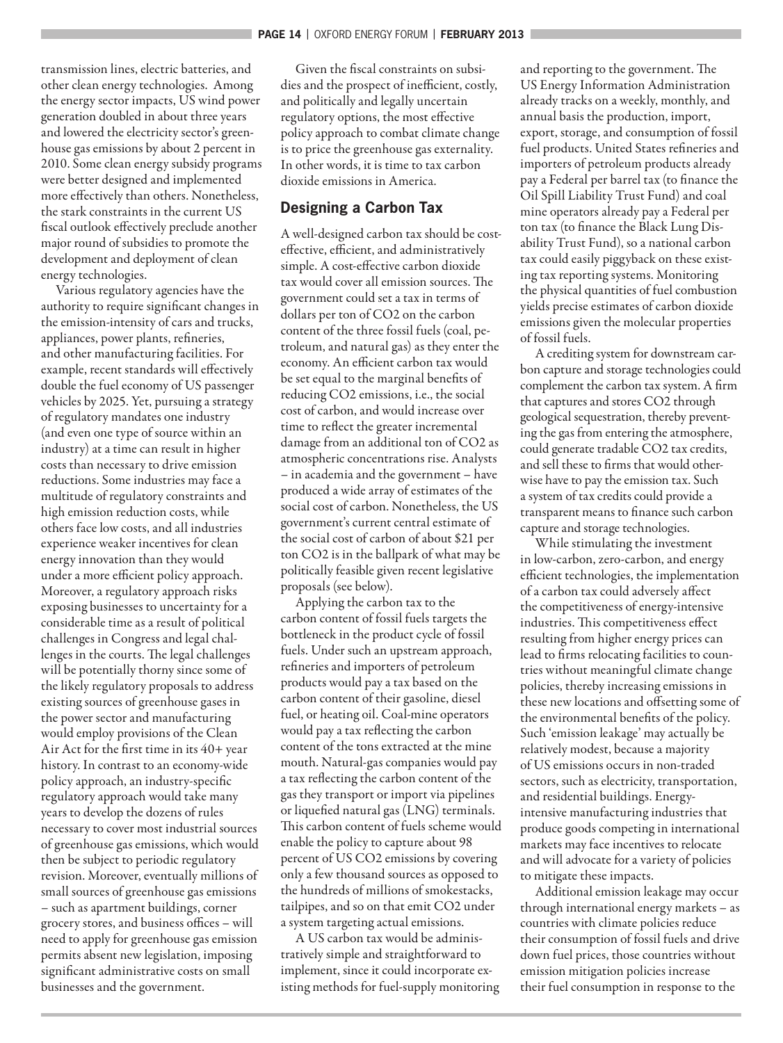transmission lines, electric batteries, and other clean energy technologies. Among the energy sector impacts, US wind power generation doubled in about three years and lowered the electricity sector's greenhouse gas emissions by about 2 percent in 2010. Some clean energy subsidy programs were better designed and implemented more effectively than others. Nonetheless, the stark constraints in the current US fiscal outlook effectively preclude another major round of subsidies to promote the development and deployment of clean energy technologies.

Various regulatory agencies have the authority to require significant changes in the emission-intensity of cars and trucks, appliances, power plants, refineries, and other manufacturing facilities. For example, recent standards will effectively double the fuel economy of US passenger vehicles by 2025. Yet, pursuing a strategy of regulatory mandates one industry (and even one type of source within an industry) at a time can result in higher costs than necessary to drive emission reductions. Some industries may face a multitude of regulatory constraints and high emission reduction costs, while others face low costs, and all industries experience weaker incentives for clean energy innovation than they would under a more efficient policy approach. Moreover, a regulatory approach risks exposing businesses to uncertainty for a considerable time as a result of political challenges in Congress and legal challenges in the courts. The legal challenges will be potentially thorny since some of the likely regulatory proposals to address existing sources of greenhouse gases in the power sector and manufacturing would employ provisions of the Clean Air Act for the first time in its  $40+$  year history. In contrast to an economy-wide policy approach, an industry-specific regulatory approach would take many years to develop the dozens of rules necessary to cover most industrial sources of greenhouse gas emissions, which would then be subject to periodic regulatory revision. Moreover, eventually millions of small sources of greenhouse gas emissions – such as apartment buildings, corner grocery stores, and business offices - will need to apply for greenhouse gas emission permits absent new legislation, imposing significant administrative costs on small businesses and the government.

Given the fiscal constraints on subsidies and the prospect of inefficient, costly, and politically and legally uncertain regulatory options, the most effective policy approach to combat climate change is to price the greenhouse gas externality. In other words, it is time to tax carbon dioxide emissions in America.

# **Designing a Carbon Tax**

A well-designed carbon tax should be costeffective, efficient, and administratively simple. A cost-effective carbon dioxide tax would cover all emission sources. The government could set a tax in terms of dollars per ton of CO2 on the carbon content of the three fossil fuels (coal, petroleum, and natural gas) as they enter the economy. An efficient carbon tax would be set equal to the marginal benefits of reducing CO2 emissions, i.e., the social cost of carbon, and would increase over time to reflect the greater incremental damage from an additional ton of CO2 as atmospheric concentrations rise. Analysts – in academia and the government – have produced a wide array of estimates of the social cost of carbon. Nonetheless, the US government's current central estimate of the social cost of carbon of about \$21 per ton CO2 is in the ballpark of what may be politically feasible given recent legislative proposals (see below).

Applying the carbon tax to the carbon content of fossil fuels targets the bottleneck in the product cycle of fossil fuels. Under such an upstream approach, refineries and importers of petroleum products would pay a tax based on the carbon content of their gasoline, diesel fuel, or heating oil. Coal-mine operators would pay a tax reflecting the carbon content of the tons extracted at the mine mouth. Natural-gas companies would pay a tax reflecting the carbon content of the gas they transport or import via pipelines or liquefied natural gas (LNG) terminals. This carbon content of fuels scheme would enable the policy to capture about 98 percent of US CO2 emissions by covering only a few thousand sources as opposed to the hundreds of millions of smokestacks, tailpipes, and so on that emit CO2 under a system targeting actual emissions.

A US carbon tax would be administratively simple and straightforward to implement, since it could incorporate existing methods for fuel-supply monitoring and reporting to the government. The US Energy Information Administration already tracks on a weekly, monthly, and annual basis the production, import, export, storage, and consumption of fossil fuel products. United States refineries and importers of petroleum products already pay a Federal per barrel tax (to finance the Oil Spill Liability Trust Fund) and coal mine operators already pay a Federal per ton tax (to finance the Black Lung Disability Trust Fund), so a national carbon tax could easily piggyback on these existing tax reporting systems. Monitoring the physical quantities of fuel combustion yields precise estimates of carbon dioxide emissions given the molecular properties of fossil fuels.

A crediting system for downstream carbon capture and storage technologies could complement the carbon tax system. A firm that captures and stores CO2 through geological sequestration, thereby preventing the gas from entering the atmosphere, could generate tradable CO2 tax credits, and sell these to firms that would otherwise have to pay the emission tax. Such a system of tax credits could provide a transparent means to finance such carbon capture and storage technologies.

While stimulating the investment in low-carbon, zero-carbon, and energy efficient technologies, the implementation of a carbon tax could adversely affect the competitiveness of energy-intensive industries. This competitiveness effect resulting from higher energy prices can lead to firms relocating facilities to countries without meaningful climate change policies, thereby increasing emissions in these new locations and offsetting some of the environmental benefits of the policy. Such 'emission leakage' may actually be relatively modest, because a majority of US emissions occurs in non-traded sectors, such as electricity, transportation, and residential buildings. Energyintensive manufacturing industries that produce goods competing in international markets may face incentives to relocate and will advocate for a variety of policies to mitigate these impacts.

Additional emission leakage may occur through international energy markets – as countries with climate policies reduce their consumption of fossil fuels and drive down fuel prices, those countries without emission mitigation policies increase their fuel consumption in response to the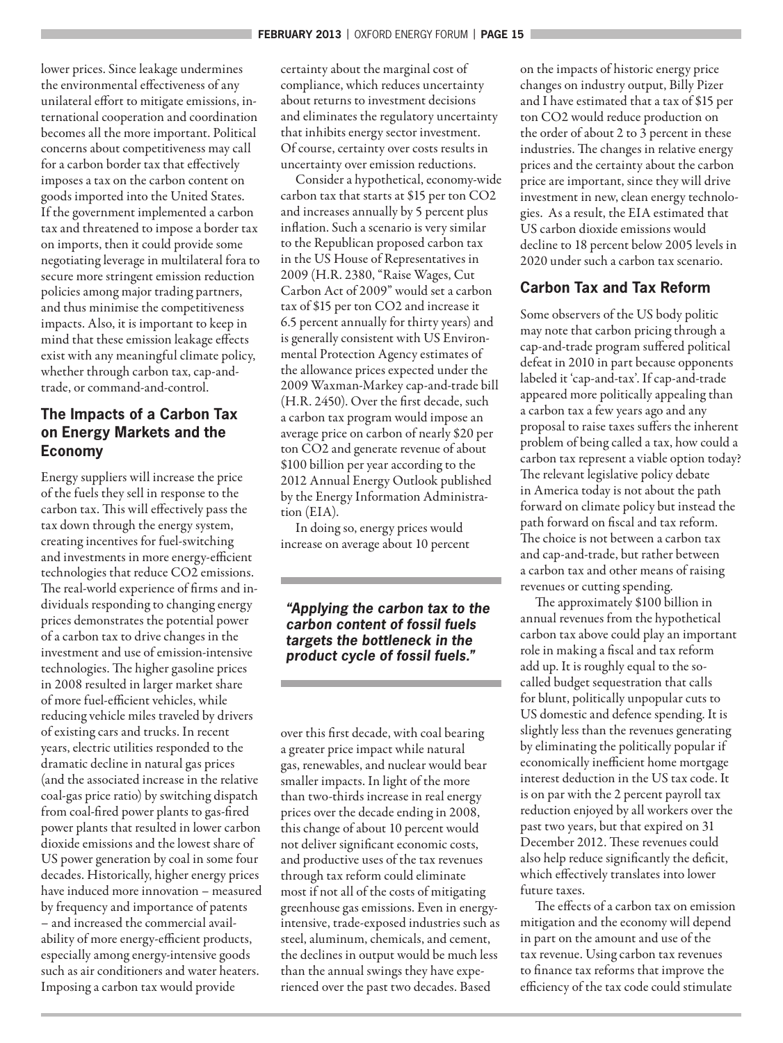lower prices. Since leakage undermines the environmental effectiveness of any unilateral effort to mitigate emissions, international cooperation and coordination becomes all the more important. Political concerns about competitiveness may call for a carbon border tax that effectively imposes a tax on the carbon content on goods imported into the United States. If the government implemented a carbon tax and threatened to impose a border tax on imports, then it could provide some negotiating leverage in multilateral fora to secure more stringent emission reduction policies among major trading partners, and thus minimise the competitiveness impacts. Also, it is important to keep in mind that these emission leakage effects exist with any meaningful climate policy, whether through carbon tax, cap-andtrade, or command-and-control.

# **The Impacts of a Carbon Tax on Energy Markets and the Economy**

Energy suppliers will increase the price of the fuels they sell in response to the carbon tax. This will effectively pass the tax down through the energy system, creating incentives for fuel-switching and investments in more energy-efficient technologies that reduce CO2 emissions. The real-world experience of firms and individuals responding to changing energy prices demonstrates the potential power of a carbon tax to drive changes in the investment and use of emission-intensive technologies. The higher gasoline prices in 2008 resulted in larger market share of more fuel-efficient vehicles, while reducing vehicle miles traveled by drivers of existing cars and trucks. In recent years, electric utilities responded to the dramatic decline in natural gas prices (and the associated increase in the relative coal-gas price ratio) by switching dispatch from coal-fired power plants to gas-fired power plants that resulted in lower carbon dioxide emissions and the lowest share of US power generation by coal in some four decades. Historically, higher energy prices have induced more innovation – measured by frequency and importance of patents – and increased the commercial availability of more energy-efficient products, especially among energy-intensive goods such as air conditioners and water heaters. Imposing a carbon tax would provide

certainty about the marginal cost of compliance, which reduces uncertainty about returns to investment decisions and eliminates the regulatory uncertainty that inhibits energy sector investment. Of course, certainty over costs results in uncertainty over emission reductions.

Consider a hypothetical, economy-wide carbon tax that starts at \$15 per ton CO2 and increases annually by 5 percent plus inflation. Such a scenario is very similar to the Republican proposed carbon tax in the US House of Representatives in 2009 (H.R. 2380, "Raise Wages, Cut Carbon Act of 2009" would set a carbon tax of \$15 per ton CO2 and increase it 6.5 percent annually for thirty years) and is generally consistent with US Environmental Protection Agency estimates of the allowance prices expected under the 2009 Waxman-Markey cap-and-trade bill (H.R. 2450). Over the first decade, such a carbon tax program would impose an average price on carbon of nearly \$20 per ton CO2 and generate revenue of about \$100 billion per year according to the 2012 Annual Energy Outlook published by the Energy Information Administration (EIA).

In doing so, energy prices would increase on average about 10 percent

**"Applying the carbon tax to the carbon content of fossil fuels targets the bottleneck in the product cycle of fossil fuels."**

over this first decade, with coal bearing a greater price impact while natural gas, renewables, and nuclear would bear smaller impacts. In light of the more than two-thirds increase in real energy prices over the decade ending in 2008, this change of about 10 percent would not deliver significant economic costs, and productive uses of the tax revenues through tax reform could eliminate most if not all of the costs of mitigating greenhouse gas emissions. Even in energyintensive, trade-exposed industries such as steel, aluminum, chemicals, and cement, the declines in output would be much less than the annual swings they have experienced over the past two decades. Based

on the impacts of historic energy price changes on industry output, Billy Pizer and I have estimated that a tax of \$15 per ton CO2 would reduce production on the order of about 2 to 3 percent in these industries. The changes in relative energy prices and the certainty about the carbon price are important, since they will drive investment in new, clean energy technologies. As a result, the EIA estimated that US carbon dioxide emissions would decline to 18 percent below 2005 levels in 2020 under such a carbon tax scenario.

# **Carbon Tax and Tax Reform**

Some observers of the US body politic may note that carbon pricing through a cap-and-trade program suffered political defeat in 2010 in part because opponents labeled it 'cap-and-tax'. If cap-and-trade appeared more politically appealing than a carbon tax a few years ago and any proposal to raise taxes suffers the inherent problem of being called a tax, how could a carbon tax represent a viable option today? The relevant legislative policy debate in America today is not about the path forward on climate policy but instead the path forward on fiscal and tax reform. The choice is not between a carbon tax and cap-and-trade, but rather between a carbon tax and other means of raising revenues or cutting spending.

The approximately \$100 billion in annual revenues from the hypothetical carbon tax above could play an important role in making a fiscal and tax reform add up. It is roughly equal to the socalled budget sequestration that calls for blunt, politically unpopular cuts to US domestic and defence spending. It is slightly less than the revenues generating by eliminating the politically popular if economically inefficient home mortgage interest deduction in the US tax code. It is on par with the 2 percent payroll tax reduction enjoyed by all workers over the past two years, but that expired on 31 December 2012. These revenues could also help reduce significantly the deficit, which effectively translates into lower future taxes.

The effects of a carbon tax on emission mitigation and the economy will depend in part on the amount and use of the tax revenue. Using carbon tax revenues to finance tax reforms that improve the efficiency of the tax code could stimulate